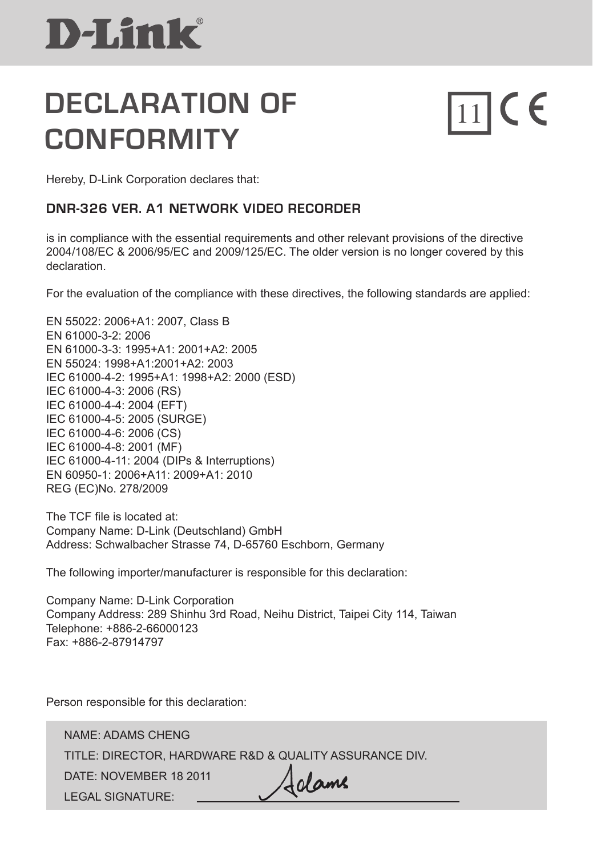### **DECLARATION OF** 11 **CE CONFORMITY**

Hereby, D-Link Corporation declares that:

### **DNR-326 VER. A1 network video recorder**

is in compliance with the essential requirements and other relevant provisions of the directive 2004/108/EC & 2006/95/EC and 2009/125/EC. The older version is no longer covered by this declaration.

For the evaluation of the compliance with these directives, the following standards are applied:

EN 55022: 2006+A1: 2007, Class B EN 61000-3-2: 2006 EN 61000-3-3: 1995+A1: 2001+A2: 2005 EN 55024: 1998+A1:2001+A2: 2003 IEC 61000-4-2: 1995+A1: 1998+A2: 2000 (ESD) IEC 61000-4-3: 2006 (RS) IEC 61000-4-4: 2004 (EFT) IEC 61000-4-5: 2005 (SURGE) IEC 61000-4-6: 2006 (CS) IEC 61000-4-8: 2001 (MF) IEC 61000-4-11: 2004 (DIPs & Interruptions) EN 60950-1: 2006+A11: 2009+A1: 2010 REG (EC)No. 278/2009

The TCF file is located at: Company Name: D-Link (Deutschland) GmbH Address: Schwalbacher Strasse 74, D-65760 Eschborn, Germany

The following importer/manufacturer is responsible for this declaration:

Company Name: D-Link Corporation Company Address: 289 Shinhu 3rd Road, Neihu District, Taipei City 114, Taiwan Telephone: +886-2-66000123 Fax: +886-2-87914797

Person responsible for this declaration:

NAME: ADAMS CHENG TITLE: DIRECTOR, HARDWARE R&D & QUALITY ASSURANCE DIV. Adame DATE: NOVEMBER 18 2011 LEGAL SIGNATURE: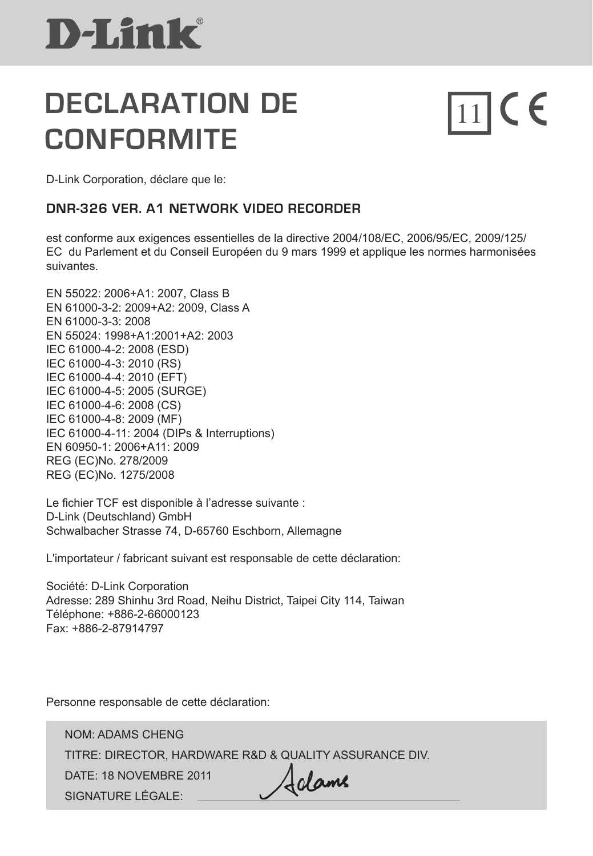### **DECLARATION DE CONFORMITE**

# $\prod_{1}$ CE

D-Link Corporation, déclare que le:

#### **DNR-326 VER. A1 network video recorder**

 est conforme aux exigences essentielles de la directive 2004/108/EC, 2006/95/EC, 2009/125/ EC du Parlement et du Conseil Européen du 9 mars 1999 et applique les normes harmonisées suivantes.

EN 55022: 2006+A1: 2007, Class B EN 61000-3-2: 2009+A2: 2009, Class A EN 61000-3-3: 2008 EN 55024: 1998+A1:2001+A2: 2003 IEC 61000-4-2: 2008 (ESD) IEC 61000-4-3: 2010 (RS) IEC 61000-4-4: 2010 (EFT) IEC 61000-4-5: 2005 (SURGE) IEC 61000-4-6: 2008 (CS) IEC 61000-4-8: 2009 (MF) IEC 61000-4-11: 2004 (DIPs & Interruptions) EN 60950-1: 2006+A11: 2009 REG (EC)No. 278/2009 REG (EC)No. 1275/2008

Le fichier TCF est disponible à l'adresse suivante : D-Link (Deutschland) GmbH Schwalbacher Strasse 74, D-65760 Eschborn, Allemagne

L'importateur / fabricant suivant est responsable de cette déclaration:

Société: D-Link Corporation Adresse: 289 Shinhu 3rd Road, Neihu District, Taipei City 114, Taiwan Téléphone: +886-2-66000123 Fax: +886-2-87914797

Personne responsable de cette déclaration:

NOM: ADAMS CHENG TITRE: DIRECTOR, HARDWARE R&D & QUALITY ASSURANCE DIV. DATE: 18 NOVEMBRE 2011 Adame SIGNATURE LÉGALE: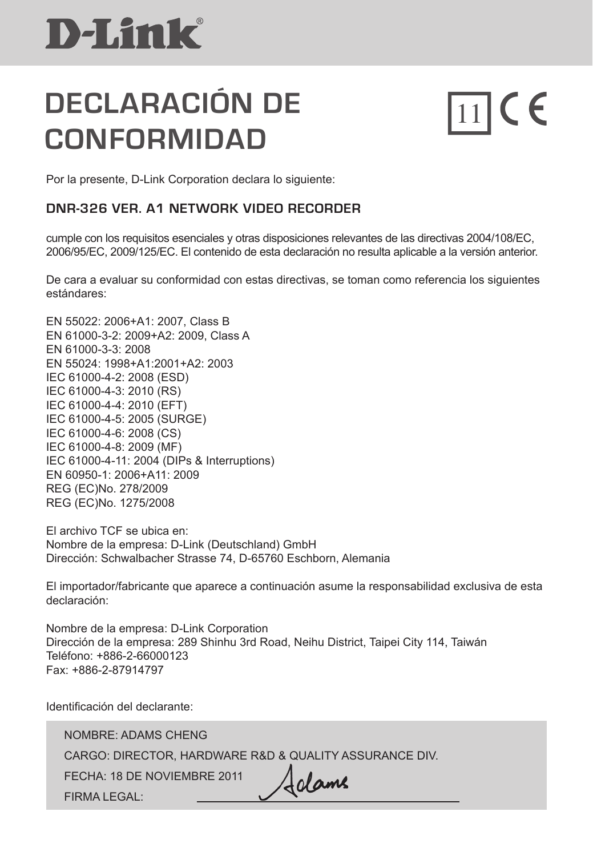### **DECLARACIÓN DE CONFORMIDAD**

 $\prod_{1}$ CE

Por la presente, D-Link Corporation declara lo siguiente:

#### **DNR-326 VER. A1 network video recorder**

cumple con los requisitos esenciales y otras disposiciones relevantes de las directivas 2004/108/EC, 2006/95/EC, 2009/125/EC. El contenido de esta declaración no resulta aplicable a la versión anterior.

De cara a evaluar su conformidad con estas directivas, se toman como referencia los siguientes estándares:

EN 55022: 2006+A1: 2007, Class B EN 61000-3-2: 2009+A2: 2009, Class A EN 61000-3-3: 2008 EN 55024: 1998+A1:2001+A2: 2003 IEC 61000-4-2: 2008 (ESD) IEC 61000-4-3: 2010 (RS) IEC 61000-4-4: 2010 (EFT) IEC 61000-4-5: 2005 (SURGE) IEC 61000-4-6: 2008 (CS) IEC 61000-4-8: 2009 (MF) IEC 61000-4-11: 2004 (DIPs & Interruptions) EN 60950-1: 2006+A11: 2009 REG (EC)No. 278/2009 REG (EC)No. 1275/2008

El archivo TCF se ubica en: Nombre de la empresa: D-Link (Deutschland) GmbH Dirección: Schwalbacher Strasse 74, D-65760 Eschborn, Alemania

El importador/fabricante que aparece a continuación asume la responsabilidad exclusiva de esta declaración:

Nombre de la empresa: D-Link Corporation Dirección de la empresa: 289 Shinhu 3rd Road, Neihu District, Taipei City 114, Taiwán Teléfono: +886-2-66000123 Fax: +886-2-87914797

Identificación del declarante:

NOMBRE: ADAMS CHENG CARGO: DIRECTOR, HARDWARE R&D & QUALITY ASSURANCE DIV. Adame FECHA: 18 de noviembre 2011 FIRMA LEGAL: